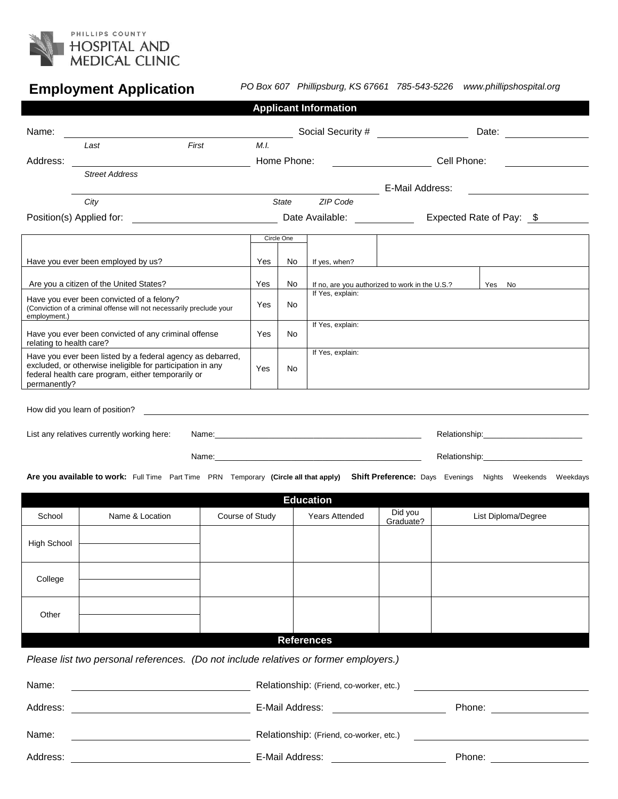

# **Employment Application**

*PO Box 607 Phillipsburg, KS 67661 785-543-5226 www.phillipshospital.org*

|                                                                                                                                                                                                |                                                                                                                                               |                                                                                                                      |                                                |                                      | <b>Applicant Information</b>                             |                              |                     |                          |  |  |
|------------------------------------------------------------------------------------------------------------------------------------------------------------------------------------------------|-----------------------------------------------------------------------------------------------------------------------------------------------|----------------------------------------------------------------------------------------------------------------------|------------------------------------------------|--------------------------------------|----------------------------------------------------------|------------------------------|---------------------|--------------------------|--|--|
| Name:                                                                                                                                                                                          |                                                                                                                                               |                                                                                                                      |                                                | Social Security # __________________ |                                                          | Date: _______________        |                     |                          |  |  |
|                                                                                                                                                                                                | Last                                                                                                                                          | First                                                                                                                | M.I.                                           |                                      |                                                          |                              |                     |                          |  |  |
| Address:                                                                                                                                                                                       |                                                                                                                                               |                                                                                                                      |                                                | Home Phone:                          |                                                          | Cell Phone:                  |                     |                          |  |  |
|                                                                                                                                                                                                | <b>Street Address</b>                                                                                                                         |                                                                                                                      |                                                |                                      |                                                          | E-Mail Address:              |                     |                          |  |  |
|                                                                                                                                                                                                | City                                                                                                                                          |                                                                                                                      | State                                          |                                      | ZIP Code                                                 |                              |                     |                          |  |  |
|                                                                                                                                                                                                |                                                                                                                                               |                                                                                                                      |                                                |                                      |                                                          | Date Available: ____________ |                     | Expected Rate of Pay: \$ |  |  |
|                                                                                                                                                                                                |                                                                                                                                               |                                                                                                                      |                                                | Circle One                           |                                                          |                              |                     |                          |  |  |
|                                                                                                                                                                                                | Have you ever been employed by us?                                                                                                            |                                                                                                                      | Yes                                            | No                                   | If yes, when?                                            |                              |                     |                          |  |  |
|                                                                                                                                                                                                | Are you a citizen of the United States?                                                                                                       | Yes                                                                                                                  | No                                             |                                      | If no, are you authorized to work in the U.S.?<br>Yes No |                              |                     |                          |  |  |
| Have you ever been convicted of a felony?<br>(Conviction of a criminal offense will not necessarily preclude your<br>employment.)                                                              |                                                                                                                                               |                                                                                                                      |                                                | No                                   | If Yes, explain:                                         |                              |                     |                          |  |  |
| relating to health care?                                                                                                                                                                       | Have you ever been convicted of any criminal offense                                                                                          | Yes                                                                                                                  | No                                             | If Yes, explain:                     |                                                          |                              |                     |                          |  |  |
| Have you ever been listed by a federal agency as debarred,<br>excluded, or otherwise ineligible for participation in any<br>federal health care program, either temporarily or<br>permanently? |                                                                                                                                               |                                                                                                                      |                                                | No.                                  | If Yes, explain:                                         |                              |                     |                          |  |  |
|                                                                                                                                                                                                | How did you learn of position?                                                                                                                | <u> 1980 - Andrea State Barbara, amerikan personal di sebagai personal di sebagai personal di sebagai personal d</u> |                                                |                                      |                                                          |                              |                     |                          |  |  |
| List any relatives currently working here:<br>Name: Name: Name: Name: Name: Name: Name: Name: Name: Name: Name: Name: Name: Name: Name: Name: Name: Name: Na                                   |                                                                                                                                               |                                                                                                                      |                                                |                                      |                                                          |                              |                     |                          |  |  |
|                                                                                                                                                                                                |                                                                                                                                               |                                                                                                                      |                                                |                                      |                                                          |                              |                     |                          |  |  |
|                                                                                                                                                                                                | Are you available to work: Full Time Part Time PRN Temporary (Circle all that apply) Shift Preference: Days Evenings Nights Weekends Weekdays |                                                                                                                      |                                                |                                      |                                                          |                              |                     |                          |  |  |
|                                                                                                                                                                                                |                                                                                                                                               |                                                                                                                      |                                                |                                      | <b>Education</b>                                         |                              |                     |                          |  |  |
| School                                                                                                                                                                                         | Name & Location                                                                                                                               | Course of Study                                                                                                      |                                                |                                      | <b>Years Attended</b>                                    | Did you<br>Graduate?         | List Diploma/Degree |                          |  |  |
| High School                                                                                                                                                                                    |                                                                                                                                               |                                                                                                                      |                                                |                                      |                                                          |                              |                     |                          |  |  |
| College                                                                                                                                                                                        |                                                                                                                                               |                                                                                                                      |                                                |                                      |                                                          |                              |                     |                          |  |  |
| Other                                                                                                                                                                                          |                                                                                                                                               |                                                                                                                      |                                                |                                      |                                                          |                              |                     |                          |  |  |
|                                                                                                                                                                                                |                                                                                                                                               |                                                                                                                      |                                                | <b>References</b>                    |                                                          |                              |                     |                          |  |  |
|                                                                                                                                                                                                | Please list two personal references. (Do not include relatives or former employers.)                                                          |                                                                                                                      |                                                |                                      |                                                          |                              |                     |                          |  |  |
| Name:                                                                                                                                                                                          |                                                                                                                                               |                                                                                                                      |                                                |                                      | Relationship: (Friend, co-worker, etc.)                  |                              |                     |                          |  |  |
| Address:                                                                                                                                                                                       |                                                                                                                                               |                                                                                                                      | E-Mail Address: <u>_______________________</u> |                                      |                                                          |                              |                     |                          |  |  |
| Name:                                                                                                                                                                                          | Relationship: (Friend, co-worker, etc.)<br><u> 1989 - John Stein, mars and de Brazilian (b. 1989)</u>                                         |                                                                                                                      |                                                |                                      |                                                          |                              |                     |                          |  |  |

Address: E-Mail Address: Phone: